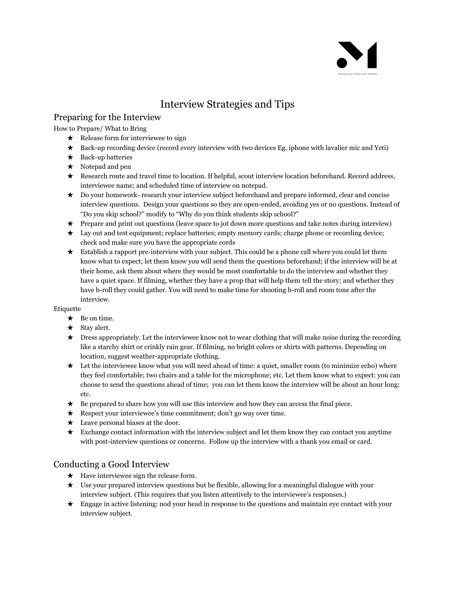# Interview Strategies and Tips

# Preparing for the Interview

How to Prepare/ What to Bring

- $\star$  Release form for interviewee to sign
- ★ Back-up recording device (record every interview with two devices Eg. iphone with lavalier mic and Yeti)
- $\star$  Back-up batteries
- $\star$  Notepad and pen
- ★ Research route and travel time to location. If helpful, scout interview location beforehand. Record address, interviewee name; and scheduled time of interview on notepad.
- ★ Do your homework- research your interview subject beforehand and prepare informed, clear and concise interview questions. Design your questions so they are open-ended, avoiding yes or no questions. Instead of "Do you skip school?" modify to "Why do you think students skip school?"
- ★ Prepare and print out questions (leave space to jot down more questions and take notes during interview)
- ★ Lay out and test equipment; replace batteries; empty memory cards; charge phone or recording device; check and make sure you have the appropriate cords
- ★ Establish a rapport pre-interview with your subject. This could be a phone call where you could let them know what to expect; let them know you will send them the questions beforehand; if the interview will be at their home, ask them about where they would be most comfortable to do the interview and whether they have a quiet space. If filming, whether they have a prop that will help them tell the story; and whether they have b-roll they could gather. You will need to make time for shooting b-roll and room tone after the interview.

### Etiquette

- ★ Be on time.
- ★ Stay alert.
- ★ Dress appropriately. Let the interviewee know not to wear clothing that will make noise during the recording like a starchy shirt or crinkly rain gear. If filming, no bright colors or shirts with patterns. Depending on location, suggest weather-appropriate clothing.
- ★ Let the interviewee know what you will need ahead of time: a quiet, smaller room (to minimize echo) where they feel comfortable; two chairs and a table for the microphone; etc. Let them know what to expect: you can choose to send the questions ahead of time; you can let them know the interview will be about an hour long; etc.
- $\star$  Be prepared to share how you will use this interview and how they can access the final piece.
- ★ Respect your interviewee's time commitment; don't go way over time.
- $\star$  Leave personal biases at the door.
- $\star$  Exchange contact information with the interview subject and let them know they can contact you anytime with post-interview questions or concerns. Follow up the interview with a thank you email or card.

# Conducting a Good Interview

- $\star$  Have interviewee sign the release form.
- ★ Use your prepared interview questions but be flexible, allowing for a meaningful dialogue with your interview subject. (This requires that you listen attentively to the interviewee's responses.)
- ★ Engage in active listening: nod your head in response to the questions and maintain eye contact with your interview subject.